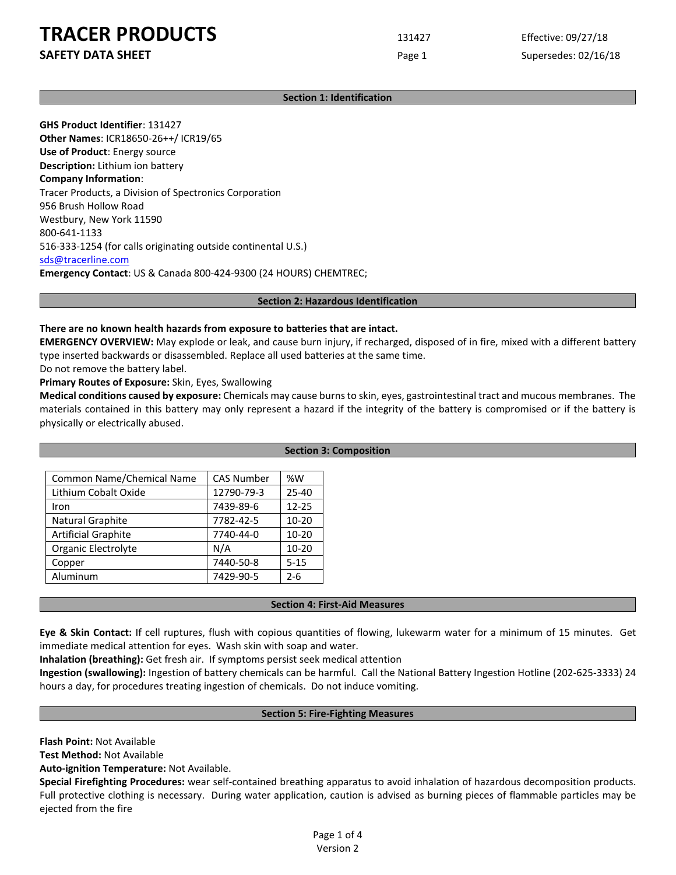## **TRACER PRODUCTS** 131427 Effective: 09/27/18

**SAFETY DATA SHEET** SUPERFOUR CONSUMING THE Page 1 Supersedes: 02/16/18

## **Section 1: Identification**

**GHS Product Identifier**: 131427 **Other Names**: ICR18650-26++/ ICR19/65 **Use of Product**: Energy source **Description:** Lithium ion battery **Company Information**: Tracer Products, a Division of Spectronics Corporation 956 Brush Hollow Road Westbury, New York 11590 800-641-1133 516-333-1254 (for calls originating outside continental U.S.) [sds@tracerline.com](mailto:sds@tracerline.com) **Emergency Contact**: US & Canada 800-424-9300 (24 HOURS) CHEMTREC;

#### **Section 2: Hazardous Identification**

## **There are no known health hazards from exposure to batteries that are intact.**

**EMERGENCY OVERVIEW:** May explode or leak, and cause burn injury, if recharged, disposed of in fire, mixed with a different battery type inserted backwards or disassembled. Replace all used batteries at the same time.

Do not remove the battery label.

## **Primary Routes of Exposure:** Skin, Eyes, Swallowing

**Medical conditions caused by exposure:** Chemicals may cause burns to skin, eyes, gastrointestinal tract and mucous membranes. The materials contained in this battery may only represent a hazard if the integrity of the battery is compromised or if the battery is physically or electrically abused.

|                            |                   |           | <b>Section 3: Composition</b> |
|----------------------------|-------------------|-----------|-------------------------------|
|                            |                   |           |                               |
| Common Name/Chemical Name  | <b>CAS Number</b> | %W        |                               |
| Lithium Cobalt Oxide       | 12790-79-3        | $25 - 40$ |                               |
| Iron                       | 7439-89-6         | $12 - 25$ |                               |
| Natural Graphite           | 7782-42-5         | $10 - 20$ |                               |
| <b>Artificial Graphite</b> | 7740-44-0         | $10 - 20$ |                               |
| Organic Electrolyte        | N/A               | $10 - 20$ |                               |
| Copper                     | 7440-50-8         | $5 - 15$  |                               |
| Aluminum                   | 7429-90-5         | 2-6       |                               |

#### **Section 4: First-Aid Measures**

**Eye & Skin Contact:** If cell ruptures, flush with copious quantities of flowing, lukewarm water for a minimum of 15 minutes. Get immediate medical attention for eyes. Wash skin with soap and water.

**Inhalation (breathing):** Get fresh air. If symptoms persist seek medical attention

**Ingestion (swallowing):** Ingestion of battery chemicals can be harmful. Call the National Battery Ingestion Hotline (202-625-3333) 24 hours a day, for procedures treating ingestion of chemicals. Do not induce vomiting.

#### **Section 5: Fire-Fighting Measures**

**Flash Point:** Not Available

**Test Method:** Not Available

**Auto-ignition Temperature:** Not Available.

**Special Firefighting Procedures:** wear self-contained breathing apparatus to avoid inhalation of hazardous decomposition products. Full protective clothing is necessary. During water application, caution is advised as burning pieces of flammable particles may be ejected from the fire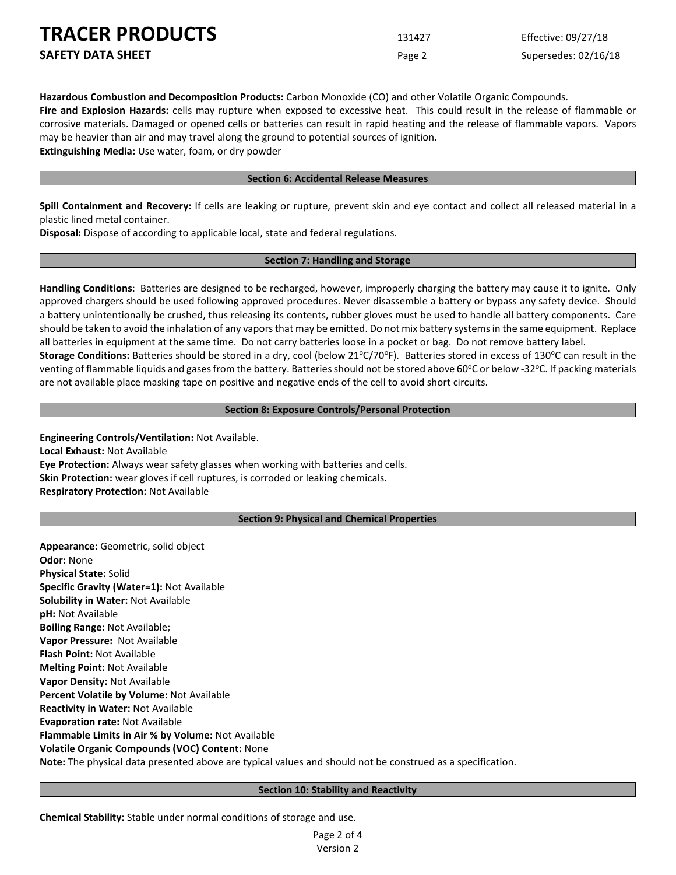**TRACER PRODUCTS** 13

| <b>IRACER PRODUCTS</b>   | 131427 | Effective: 09/27/18  |
|--------------------------|--------|----------------------|
| <b>SAFETY DATA SHEET</b> | Page 2 | Supersedes: 02/16/18 |

**Hazardous Combustion and Decomposition Products:** Carbon Monoxide (CO) and other Volatile Organic Compounds.

**Fire and Explosion Hazards:** cells may rupture when exposed to excessive heat. This could result in the release of flammable or corrosive materials. Damaged or opened cells or batteries can result in rapid heating and the release of flammable vapors. Vapors may be heavier than air and may travel along the ground to potential sources of ignition.

**Extinguishing Media:** Use water, foam, or dry powder

## **Section 6: Accidental Release Measures**

**Spill Containment and Recovery:** If cells are leaking or rupture, prevent skin and eye contact and collect all released material in a plastic lined metal container.

**Disposal:** Dispose of according to applicable local, state and federal regulations.

## **Section 7: Handling and Storage**

**Handling Conditions**: Batteries are designed to be recharged, however, improperly charging the battery may cause it to ignite. Only approved chargers should be used following approved procedures. Never disassemble a battery or bypass any safety device. Should a battery unintentionally be crushed, thus releasing its contents, rubber gloves must be used to handle all battery components. Care should be taken to avoid the inhalation of any vapors that may be emitted. Do not mix battery systems in the same equipment. Replace all batteries in equipment at the same time. Do not carry batteries loose in a pocket or bag. Do not remove battery label.

Storage Conditions: Batteries should be stored in a dry, cool (below 21°C/70°F). Batteries stored in excess of 130°C can result in the venting of flammable liquids and gases from the battery. Batteries should not be stored above 60°C or below -32°C. If packing materials are not available place masking tape on positive and negative ends of the cell to avoid short circuits.

## **Section 8: Exposure Controls/Personal Protection**

**Engineering Controls/Ventilation:** Not Available. **Local Exhaust:** Not Available **Eye Protection:** Always wear safety glasses when working with batteries and cells. **Skin Protection:** wear gloves if cell ruptures, is corroded or leaking chemicals. **Respiratory Protection:** Not Available

## **Section 9: Physical and Chemical Properties**

**Appearance:** Geometric, solid object **Odor:** None **Physical State:** Solid **Specific Gravity (Water=1):** Not Available **Solubility in Water:** Not Available **pH:** Not Available **Boiling Range:** Not Available; **Vapor Pressure:** Not Available **Flash Point:** Not Available **Melting Point:** Not Available **Vapor Density:** Not Available **Percent Volatile by Volume:** Not Available **Reactivity in Water:** Not Available **Evaporation rate:** Not Available **Flammable Limits in Air % by Volume:** Not Available **Volatile Organic Compounds (VOC) Content:** None **Note:** The physical data presented above are typical values and should not be construed as a specification.

#### **Section 10: Stability and Reactivity**

**Chemical Stability:** Stable under normal conditions of storage and use.

Page 2 of 4 Version 2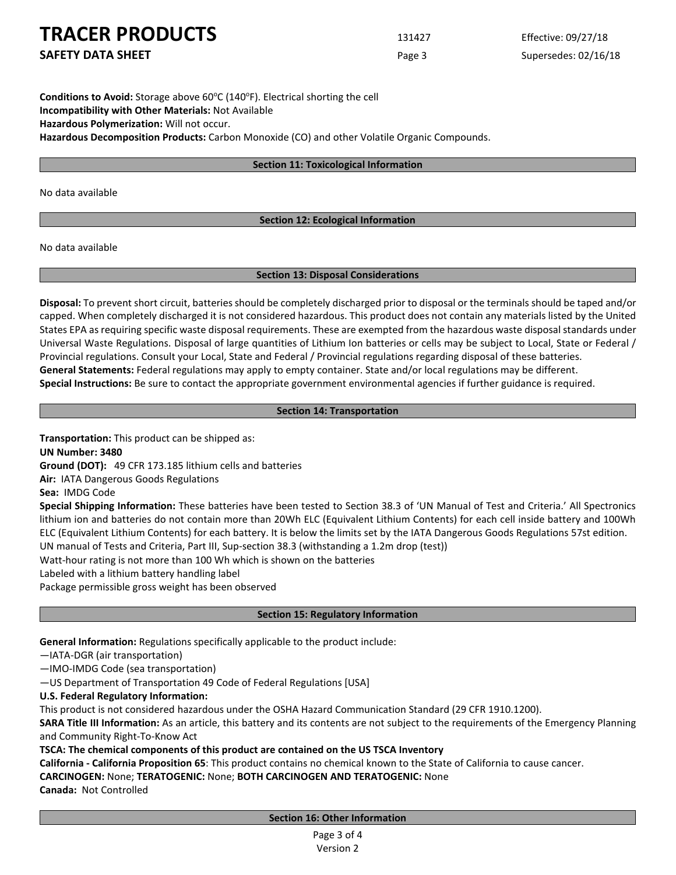**TRACER PRODUCTS** 131427 Effective: 09/27/18

**SAFETY DATA SHEET** SUPERFOUR CONSUMING THE Page 3 Supersedes: 02/16/18

Conditions to Avoid: Storage above 60°C (140°F). Electrical shorting the cell **Incompatibility with Other Materials:** Not Available **Hazardous Polymerization:** Will not occur. **Hazardous Decomposition Products:** Carbon Monoxide (CO) and other Volatile Organic Compounds.

## **Section 11: Toxicological Information**

No data available

## **Section 12: Ecological Information**

No data available

## **Section 13: Disposal Considerations**

**Disposal:** To prevent short circuit, batteries should be completely discharged prior to disposal or the terminals should be taped and/or capped. When completely discharged it is not considered hazardous. This product does not contain any materials listed by the United States EPA as requiring specific waste disposal requirements. These are exempted from the hazardous waste disposal standards under Universal Waste Regulations. Disposal of large quantities of Lithium Ion batteries or cells may be subject to Local, State or Federal / Provincial regulations. Consult your Local, State and Federal / Provincial regulations regarding disposal of these batteries. **General Statements:** Federal regulations may apply to empty container. State and/or local regulations may be different. **Special Instructions:** Be sure to contact the appropriate government environmental agencies if further guidance is required.

## **Section 14: Transportation**

**Transportation:** This product can be shipped as:

**UN Number: 3480**

**Ground (DOT):** 49 CFR 173.185 lithium cells and batteries

**Air:** IATA Dangerous Goods Regulations

**Sea:** IMDG Code

**Special Shipping Information:** These batteries have been tested to Section 38.3 of 'UN Manual of Test and Criteria.' All Spectronics lithium ion and batteries do not contain more than 20Wh ELC (Equivalent Lithium Contents) for each cell inside battery and 100Wh ELC (Equivalent Lithium Contents) for each battery. It is below the limits set by the IATA Dangerous Goods Regulations 57st edition. UN manual of Tests and Criteria, Part III, Sup-section 38.3 (withstanding a 1.2m drop (test))

Watt-hour rating is not more than 100 Wh which is shown on the batteries

Labeled with a lithium battery handling label

Package permissible gross weight has been observed

## **Section 15: Regulatory Information**

**General Information:** Regulations specifically applicable to the product include:

—IATA-DGR (air transportation)

—IMO-IMDG Code (sea transportation)

—US Department of Transportation 49 Code of Federal Regulations [USA]

**U.S. Federal Regulatory Information:**

This product is not considered hazardous under the OSHA Hazard Communication Standard (29 CFR 1910.1200).

**SARA Title III Information:** As an article, this battery and its contents are not subject to the requirements of the Emergency Planning and Community Right-To-Know Act

**TSCA: The chemical components of this product are contained on the US TSCA Inventory** 

**California - California Proposition 65**: This product contains no chemical known to the State of California to cause cancer.

**CARCINOGEN:** None; **TERATOGENIC:** None; **BOTH CARCINOGEN AND TERATOGENIC:** None

**Canada:** Not Controlled

**Section 16: Other Information**